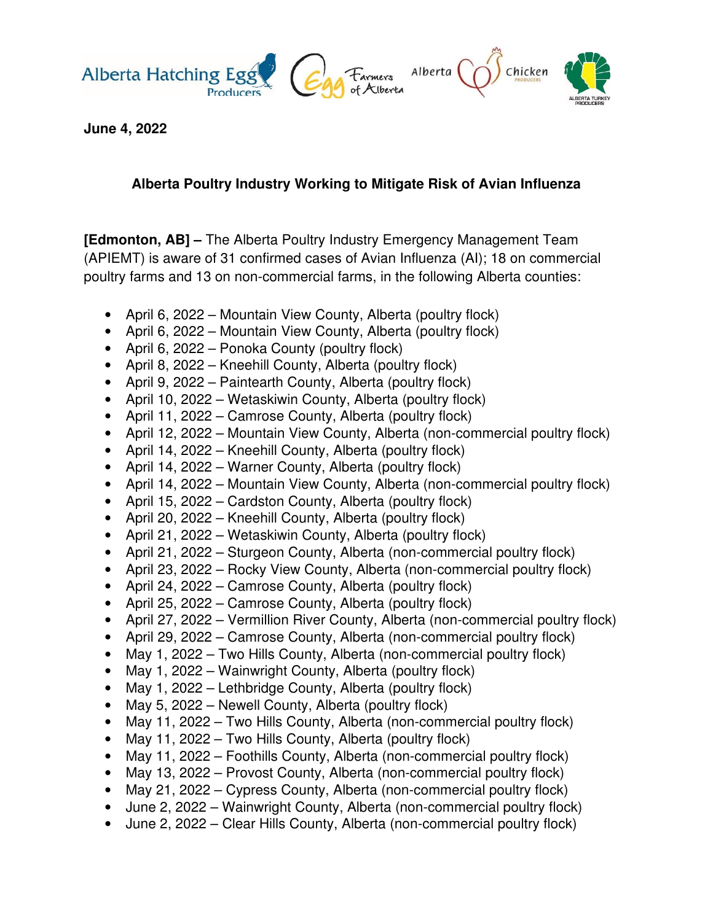

**June 4, 2022** 

## **Alberta Poultry Industry Working to Mitigate Risk of Avian Influenza**

**[Edmonton, AB] –** The Alberta Poultry Industry Emergency Management Team (APIEMT) is aware of 31 confirmed cases of Avian Influenza (AI); 18 on commercial poultry farms and 13 on non-commercial farms, in the following Alberta counties:

- April 6, 2022 Mountain View County, Alberta (poultry flock)
- April 6, 2022 Mountain View County, Alberta (poultry flock)
- April 6, 2022 Ponoka County (poultry flock)
- April 8, 2022 Kneehill County, Alberta (poultry flock)
- April 9, 2022 Paintearth County, Alberta (poultry flock)
- April 10, 2022 Wetaskiwin County, Alberta (poultry flock)
- April 11, 2022 Camrose County, Alberta (poultry flock)
- April 12, 2022 Mountain View County, Alberta (non-commercial poultry flock)
- April 14, 2022 Kneehill County, Alberta (poultry flock)
- April 14, 2022 Warner County, Alberta (poultry flock)
- April 14, 2022 Mountain View County, Alberta (non-commercial poultry flock)
- April 15, 2022 Cardston County, Alberta (poultry flock)
- April 20, 2022 Kneehill County, Alberta (poultry flock)
- April 21, 2022 Wetaskiwin County, Alberta (poultry flock)
- April 21, 2022 Sturgeon County, Alberta (non-commercial poultry flock)
- April 23, 2022 Rocky View County, Alberta (non-commercial poultry flock)
- April 24, 2022 Camrose County, Alberta (poultry flock)
- April 25, 2022 Camrose County, Alberta (poultry flock)
- April 27, 2022 Vermillion River County, Alberta (non-commercial poultry flock)
- April 29, 2022 Camrose County, Alberta (non-commercial poultry flock)
- May 1, 2022 Two Hills County, Alberta (non-commercial poultry flock)
- May 1, 2022 Wainwright County, Alberta (poultry flock)
- May 1, 2022 Lethbridge County, Alberta (poultry flock)
- May 5, 2022 Newell County, Alberta (poultry flock)
- May 11, 2022 Two Hills County, Alberta (non-commercial poultry flock)
- May 11, 2022 Two Hills County, Alberta (poultry flock)
- May 11, 2022 Foothills County, Alberta (non-commercial poultry flock)
- May 13, 2022 Provost County, Alberta (non-commercial poultry flock)
- May 21, 2022 Cypress County, Alberta (non-commercial poultry flock)
- June 2, 2022 Wainwright County, Alberta (non-commercial poultry flock)
- June 2, 2022 Clear Hills County, Alberta (non-commercial poultry flock)